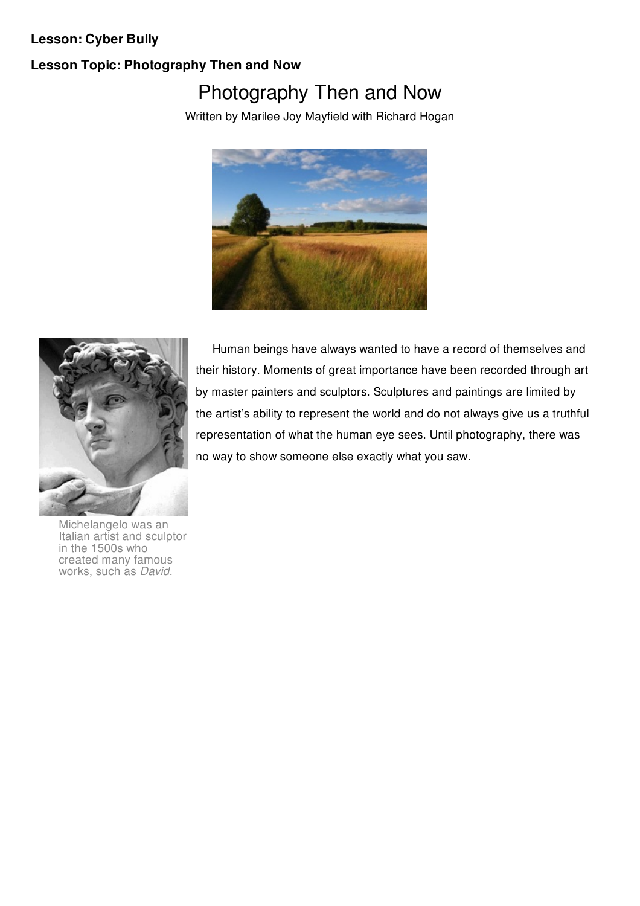# **Lesson: Cyber Bully**

# **Lesson Topic: Photography Then and Now**

# Photography Then and Now

Written by Marilee Joy Mayfield with Richard Hogan





Human beings have always wanted to have a record of themselves and their history. Moments of great importance have been recorded through art by master painters and sculptors. Sculptures and paintings are limited by the artist's ability to represent the world and do not always give us a truthful representation of what the human eye sees. Until photography, there was no way to show someone else exactly what you saw.

Michelangelo was an Italian artist and sculptor in the 1500s who created many famous works, such as *David*.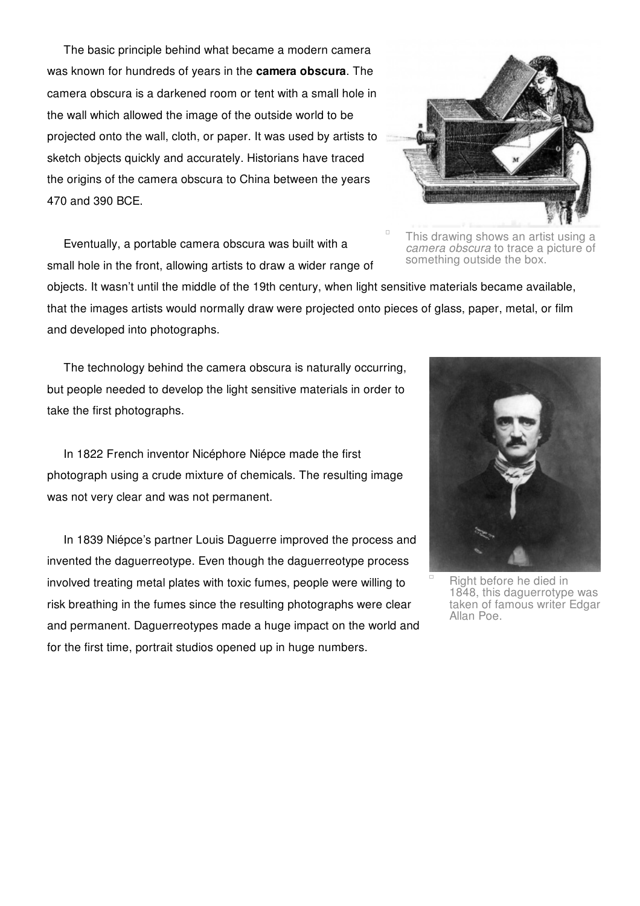The basic principle behind what became a modern camera was known for hundreds of years in the **camera obscura**. The camera obscura is a darkened room or tent with a small hole in the wall which allowed the image of the outside world to be projected onto the wall, cloth, or paper. It was used by artists to sketch objects quickly and accurately. Historians have traced the origins of the camera obscura to China between the years 470 and 390 BCE.

Eventually, a portable camera obscura was built with a small hole in the front, allowing artists to draw a wider range of



This drawing shows an artist using a *camera obscura* to trace a picture of something outside the box.

objects. It wasn't until the middle of the 19th century, when light sensitive materials became available, that the images artists would normally draw were projected onto pieces of glass, paper, metal, or film and developed into photographs.

 $\Box$ 

The technology behind the camera obscura is naturally occurring, but people needed to develop the light sensitive materials in order to take the first photographs.

In 1822 French inventor Nicéphore Niépce made the first photograph using a crude mixture of chemicals. The resulting image was not very clear and was not permanent.

In 1839 Niépce's partner Louis Daguerre improved the process and invented the daguerreotype. Even though the daguerreotype process involved treating metal plates with toxic fumes, people were willing to risk breathing in the fumes since the resulting photographs were clear and permanent. Daguerreotypes made a huge impact on the world and for the first time, portrait studios opened up in huge numbers.



Right before he died in 1848, this daguerrotype was taken of famous writer Edgar Allan Poe.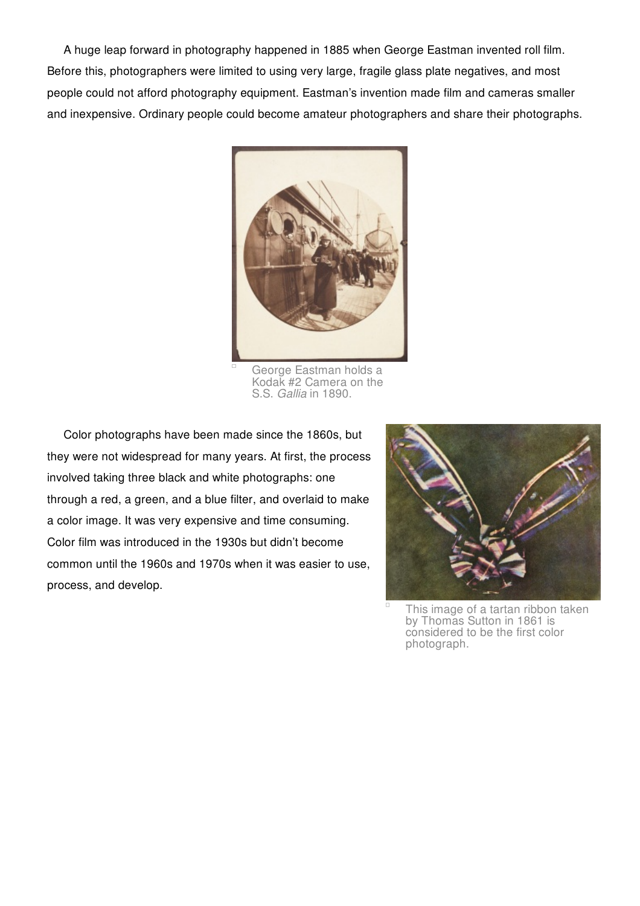A huge leap forward in photography happened in 1885 when George Eastman invented roll film. Before this, photographers were limited to using very large, fragile glass plate negatives, and most people could not afford photography equipment. Eastman's invention made film and cameras smaller and inexpensive. Ordinary people could become amateur photographers and share their photographs.



George Eastman holds a Kodak #2 Camera on the S.S. *Gallia* in 1890.

Color photographs have been made since the 1860s, but they were not widespread for many years. At first, the process involved taking three black and white photographs: one through a red, a green, and a blue filter, and overlaid to make a color image. It was very expensive and time consuming. Color film was introduced in the 1930s but didn't become common until the 1960s and 1970s when it was easier to use, process, and develop.



This image of a tartan ribbon taken by Thomas Sutton in 1861 is considered to be the first color photograph.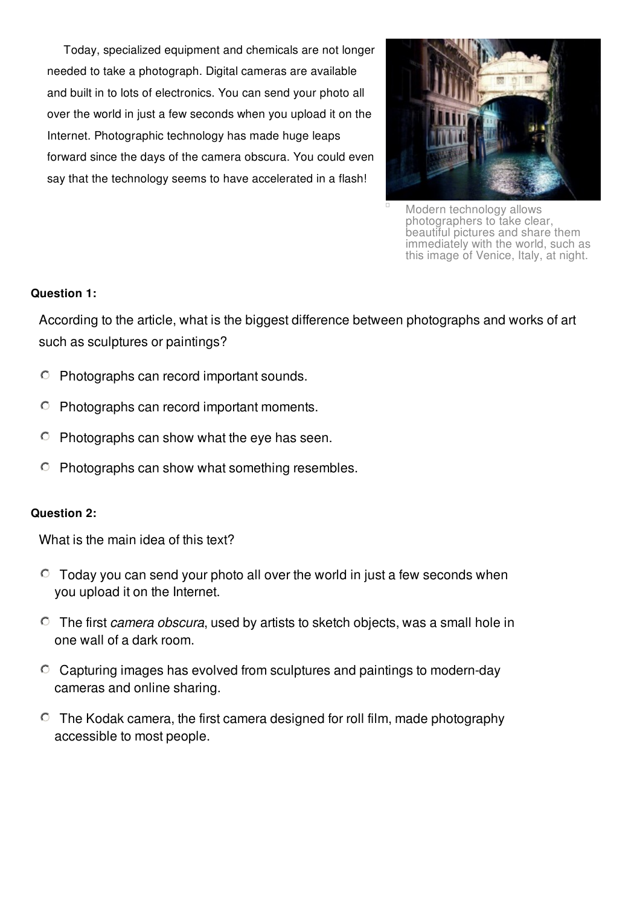Today, specialized equipment and chemicals are not longer needed to take a photograph. Digital cameras are available and built in to lots of electronics. You can send your photo all over the world in just a few seconds when you upload it on the Internet. Photographic technology has made huge leaps forward since the days of the camera obscura. You could even say that the technology seems to have accelerated in a flash!



Modern technology allows photographers to take clear, beautiful pictures and share them immediately with the world, such as this image of Venice, Italy, at night.

## **Question 1:**

According to the article, what is the biggest difference between photographs and works of art such as sculptures or paintings?

- $\circ$  Photographs can record important sounds.
- $\circ$ Photographs can record important moments.
- $\circ$  Photographs can show what the eye has seen.
- $\circ$  Photographs can show what something resembles.

#### **Question 2:**

What is the main idea of this text?

- $\degree$  Today you can send your photo all over the world in just a few seconds when you upload it on the Internet.
- The first *camera obscura*, used by artists to sketch objects, was a small hole in one wall of a dark room.
- $\degree$  Capturing images has evolved from sculptures and paintings to modern-day cameras and online sharing.
- $\degree$  The Kodak camera, the first camera designed for roll film, made photography accessible to most people.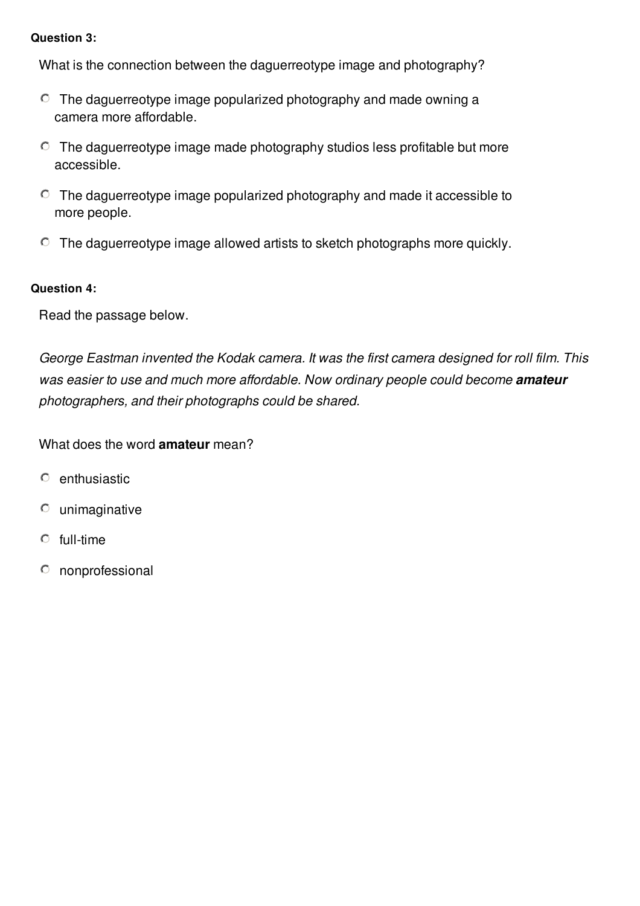## **Question 3:**

What is the connection between the daguerreotype image and photography?

- $\degree$  The daguerreotype image popularized photography and made owning a camera more affordable.
- $\degree$  The daguerreotype image made photography studios less profitable but more accessible.
- $\degree$  The daguerreotype image popularized photography and made it accessible to more people.
- $\degree$  The daguerreotype image allowed artists to sketch photographs more quickly.

# **Question 4:**

Read the passage below.

*George Eastman invented the Kodak camera. It was the first camera designed for roll film. This was easier to use and much more affordable. Now ordinary people could become amateur photographers, and their photographs could be shared.*

What does the word **amateur** mean?

- enthusiastic  $\circ$
- $\circ$ unimaginative
- $\circ$ full-time
- $\circ$ nonprofessional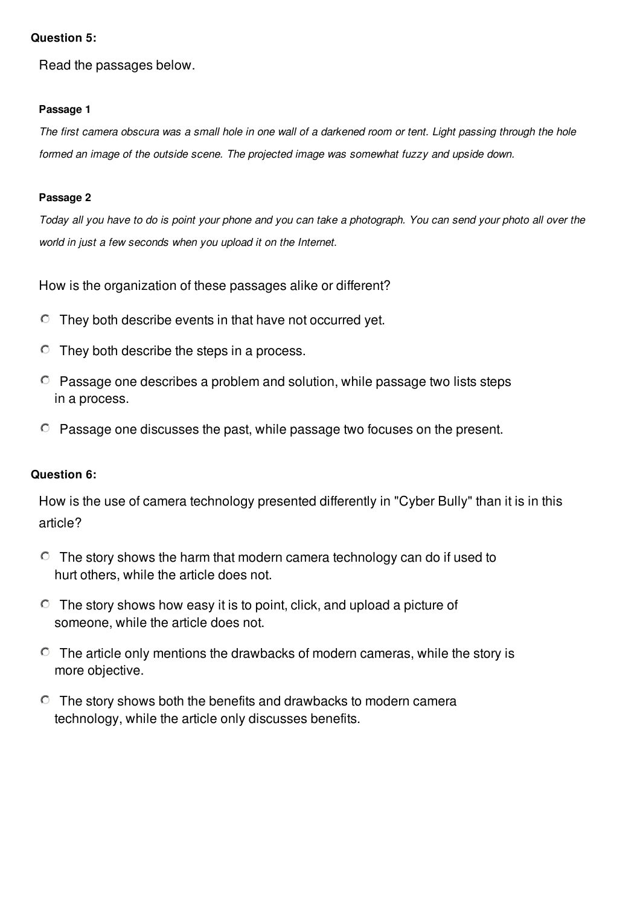## **Question 5:**

Read the passages below.

#### **Passage 1**

The first camera obscura was a small hole in one wall of a darkened room or tent. Light passing through the hole *formed an image of the outside scene. The projected image was somewhat fuzzy and upside down.*

#### **Passage 2**

Today all you have to do is point your phone and you can take a photograph. You can send your photo all over the *world in just a few seconds when you upload it on the Internet.*

How is the organization of these passages alike or different?

- $\degree$  They both describe events in that have not occurred yet.
- $\circ$  They both describe the steps in a process.
- $\degree$  Passage one describes a problem and solution, while passage two lists steps in a process.
- Passage one discusses the past, while passage two focuses on the present.

## **Question 6:**

How is the use of camera technology presented differently in "Cyber Bully" than it is in this article?

- $\degree$  The story shows the harm that modern camera technology can do if used to hurt others, while the article does not.
- $\degree$  The story shows how easy it is to point, click, and upload a picture of someone, while the article does not.
- $\degree$  The article only mentions the drawbacks of modern cameras, while the story is more objective.
- $\degree$  The story shows both the benefits and drawbacks to modern camera technology, while the article only discusses benefits.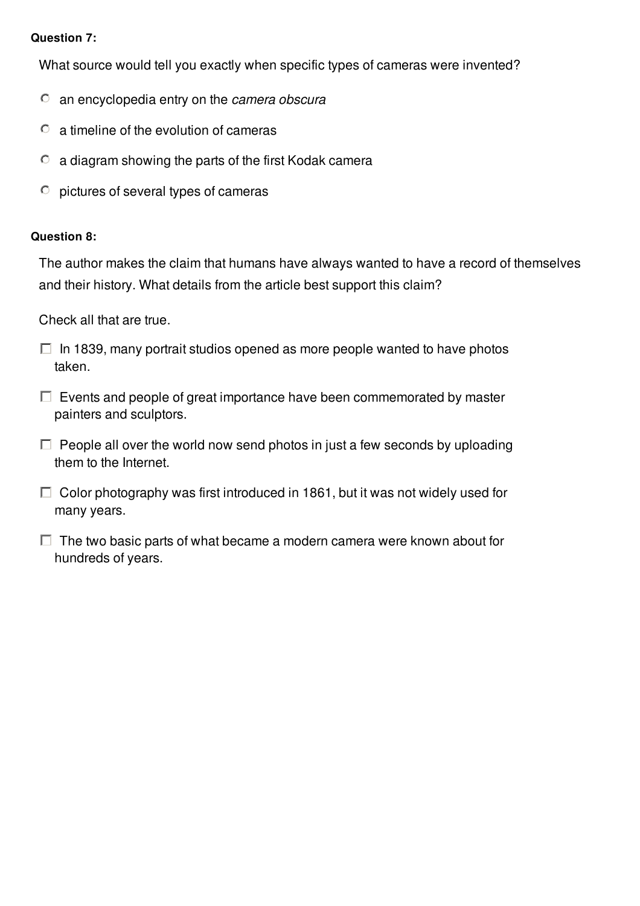## **Question 7:**

What source would tell you exactly when specific types of cameras were invented?

- an encyclopedia entry on the *camera obscura*
- a timeline of the evolution of cameras  $\circ$
- $\circ$ a diagram showing the parts of the first Kodak camera
- pictures of several types of cameras  $\circ$

## **Question 8:**

The author makes the claim that humans have always wanted to have a record of themselves and their history. What details from the article best support this claim?

Check all that are true.

- $\Box$  In 1839, many portrait studios opened as more people wanted to have photos taken.
- $\Box$  Events and people of great importance have been commemorated by master painters and sculptors.
- $\Box$  People all over the world now send photos in just a few seconds by uploading them to the Internet.
- $\Box$  Color photography was first introduced in 1861, but it was not widely used for many years.

 $\Box$  The two basic parts of what became a modern camera were known about for hundreds of years.